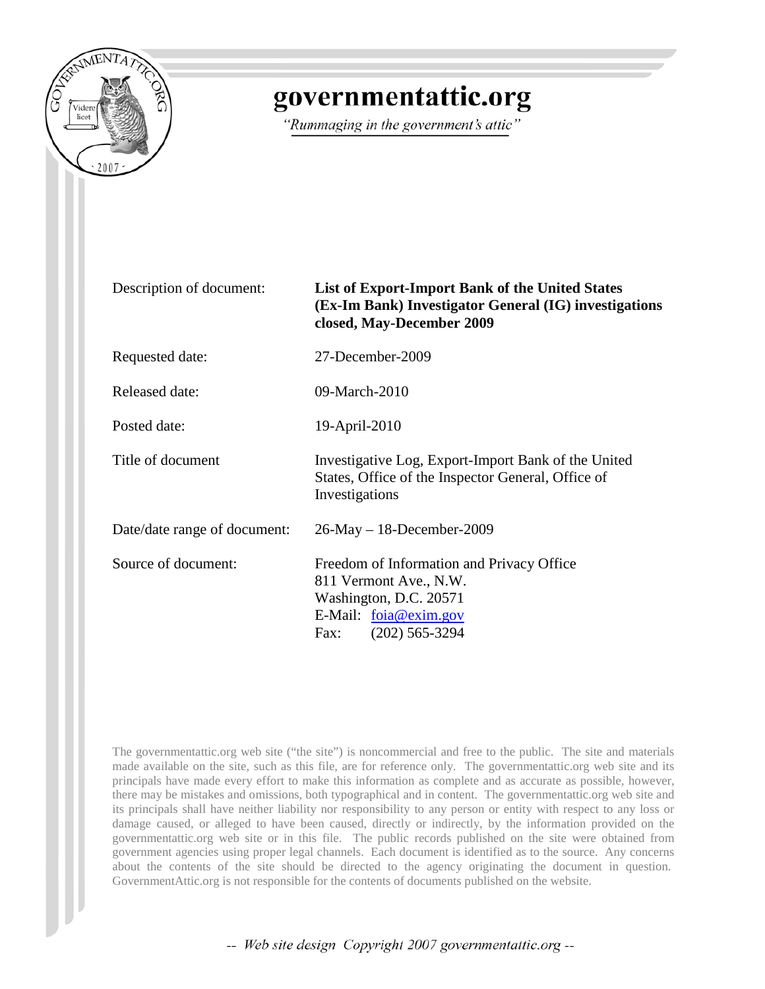

## governmentattic.org

"Rummaging in the government's attic"

| Description of document:     | <b>List of Export-Import Bank of the United States</b><br>(Ex-Im Bank) Investigator General (IG) investigations<br>closed, May-December 2009         |
|------------------------------|------------------------------------------------------------------------------------------------------------------------------------------------------|
| Requested date:              | 27-December-2009                                                                                                                                     |
| <b>Released date:</b>        | 09-March-2010                                                                                                                                        |
| Posted date:                 | 19-April-2010                                                                                                                                        |
| Title of document            | Investigative Log, Export-Import Bank of the United<br>States, Office of the Inspector General, Office of<br>Investigations                          |
| Date/date range of document: | $26$ -May – 18-December-2009                                                                                                                         |
| Source of document:          | Freedom of Information and Privacy Office<br>811 Vermont Ave., N.W.<br>Washington, D.C. 20571<br>E-Mail: $foia@exim.gov$<br>$(202)$ 565-3294<br>Fax: |

The governmentattic.org web site ("the site") is noncommercial and free to the public. The site and materials made available on the site, such as this file, are for reference only. The governmentattic.org web site and its principals have made every effort to make this information as complete and as accurate as possible, however, there may be mistakes and omissions, both typographical and in content. The governmentattic.org web site and its principals shall have neither liability nor responsibility to any person or entity with respect to any loss or damage caused, or alleged to have been caused, directly or indirectly, by the information provided on the governmentattic.org web site or in this file. The public records published on the site were obtained from government agencies using proper legal channels. Each document is identified as to the source. Any concerns about the contents of the site should be directed to the agency originating the document in question. GovernmentAttic.org is not responsible for the contents of documents published on the website.

-- Web site design Copyright 2007 governmentattic.org --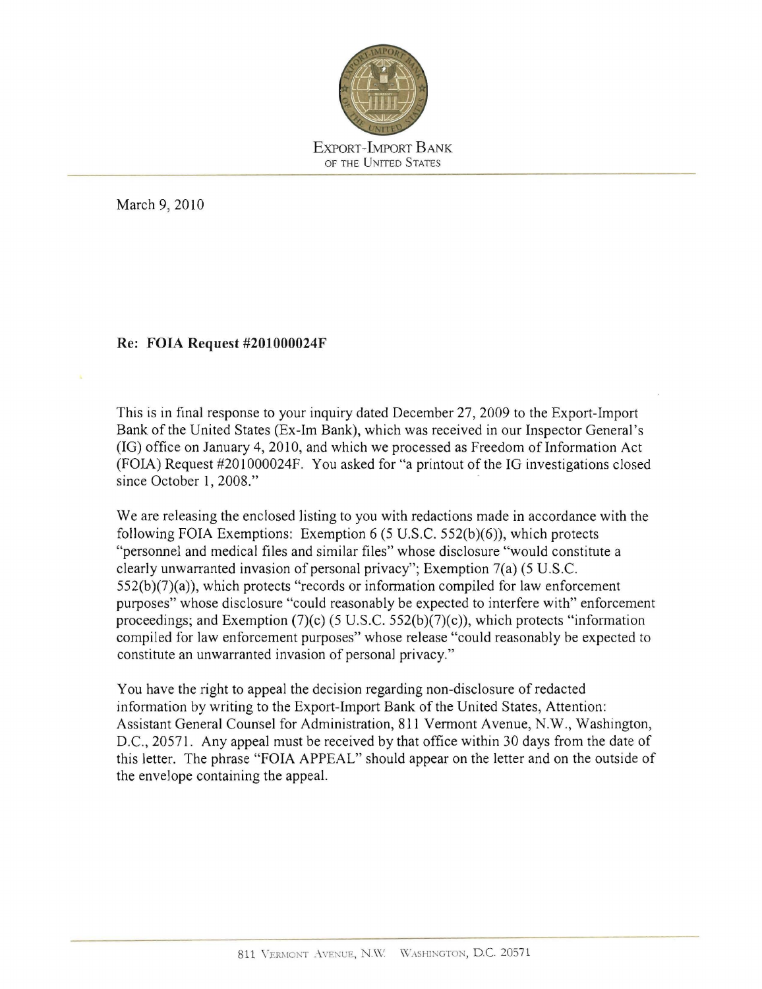

March 9, 2010

## Re: FOIA Request #201000024F

This is in final response to your inquiry dated December 27,2009 to the Export-Import Bank of the United States (Ex-1m Bank), which was received in our Inspector General 's  $(IG)$  office on January 4, 2010, and which we processed as Freedom of Information Act (FOlA) Request #201 000024F. You asked for "a printout of the IG investigations closed since October 1, 2008."

We are releasing the enclosed listing to you with redactions made in accordance with the following FOIA Exemptions: Exemption 6 (5 U.S.c. 552(b)(6)), which protects "personnel and medical files and similar files" whose disclosure "would constitute a clearly unwarranted invasion of personal privacy"; Exemption 7(a) (5 U.S.c.  $552(b)(7)(a)$ , which protects "records or information compiled for law enforcement purposes" whose disclosure "could reasonably be expected to interfere with" enforcement proceedings; and Exemption  $(7)(c)$  (5 U.S.C. 552(b)(7)(c)), which protects "information compiled for law enforcement purposes" whose release "could reasonably be expected to constitute an unwarranted invasion of personal privacy."

You have the right to appeal the decision regarding non-disclosure of redacted information by writing to the Export-Import Bank of the United States, Attention: Assistant General Counsel for Administration, 811 Vennont Avenue, N.W., Washington, D.C., 20571. Any appeal must be received by that office within 30 days from the date of this letter. The phrase "FOIA APPEAL" should appear on the letter and on the outside of the envelope containing the appeal.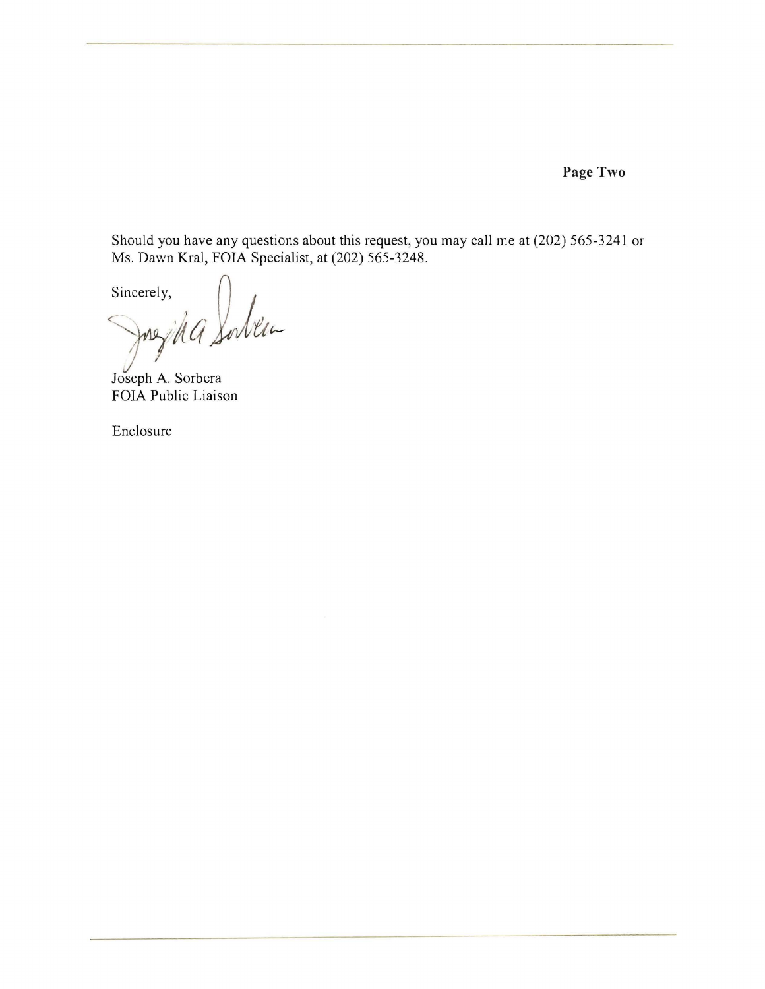**Page Two** 

Should you have any questions about this request, you may call me at (202) 565-3241 or Ms. Dawn Kral, FOIA Specialist, at (202) 565-3248.

Sincerely, cerely,<br>Juszika Solvein

Joseph A. Sorbera FOIA Public Liaison

Enclosure